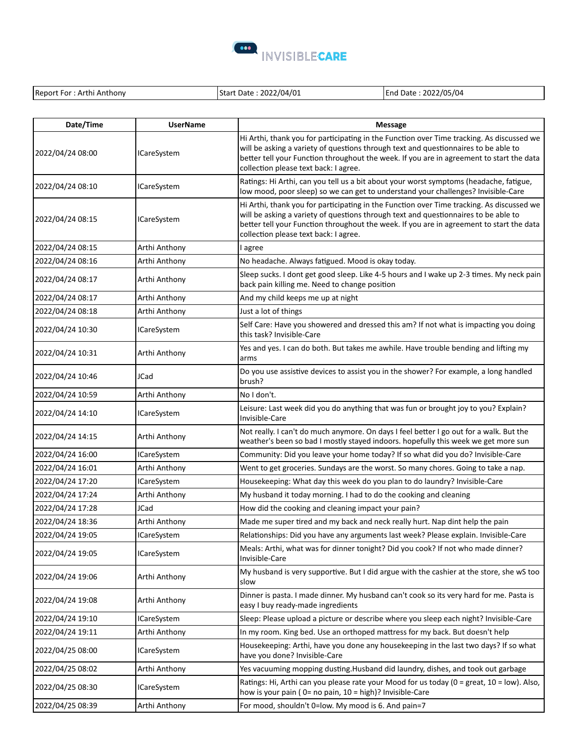

| Date/Time        | <b>UserName</b>    | <b>Message</b>                                                                                                                                                                                                                                                                                                        |
|------------------|--------------------|-----------------------------------------------------------------------------------------------------------------------------------------------------------------------------------------------------------------------------------------------------------------------------------------------------------------------|
| 2022/04/24 08:00 | <b>ICareSystem</b> | Hi Arthi, thank you for participating in the Function over Time tracking. As discussed we<br>will be asking a variety of questions through text and questionnaires to be able to<br>better tell your Function throughout the week. If you are in agreement to start the data<br>collection please text back: I agree. |
| 2022/04/24 08:10 | <b>ICareSystem</b> | Ratings: Hi Arthi, can you tell us a bit about your worst symptoms (headache, fatigue,<br>low mood, poor sleep) so we can get to understand your challenges? Invisible-Care                                                                                                                                           |
| 2022/04/24 08:15 | <b>ICareSystem</b> | Hi Arthi, thank you for participating in the Function over Time tracking. As discussed we<br>will be asking a variety of questions through text and questionnaires to be able to<br>better tell your Function throughout the week. If you are in agreement to start the data<br>collection please text back: I agree. |
| 2022/04/24 08:15 | Arthi Anthony      | I agree                                                                                                                                                                                                                                                                                                               |
| 2022/04/24 08:16 | Arthi Anthony      | No headache. Always fatigued. Mood is okay today.                                                                                                                                                                                                                                                                     |
| 2022/04/24 08:17 | Arthi Anthony      | Sleep sucks. I dont get good sleep. Like 4-5 hours and I wake up 2-3 times. My neck pain<br>back pain killing me. Need to change position                                                                                                                                                                             |
| 2022/04/24 08:17 | Arthi Anthony      | And my child keeps me up at night                                                                                                                                                                                                                                                                                     |
| 2022/04/24 08:18 | Arthi Anthony      | Just a lot of things                                                                                                                                                                                                                                                                                                  |
| 2022/04/24 10:30 | <b>ICareSystem</b> | Self Care: Have you showered and dressed this am? If not what is impacting you doing<br>this task? Invisible-Care                                                                                                                                                                                                     |
| 2022/04/24 10:31 | Arthi Anthony      | Yes and yes. I can do both. But takes me awhile. Have trouble bending and lifting my<br>arms                                                                                                                                                                                                                          |
| 2022/04/24 10:46 | JCad               | Do you use assistive devices to assist you in the shower? For example, a long handled<br>brush?                                                                                                                                                                                                                       |
| 2022/04/24 10:59 | Arthi Anthony      | No I don't.                                                                                                                                                                                                                                                                                                           |
| 2022/04/24 14:10 | <b>ICareSystem</b> | Leisure: Last week did you do anything that was fun or brought joy to you? Explain?<br>Invisible-Care                                                                                                                                                                                                                 |
| 2022/04/24 14:15 | Arthi Anthony      | Not really. I can't do much anymore. On days I feel better I go out for a walk. But the<br>weather's been so bad I mostly stayed indoors. hopefully this week we get more sun                                                                                                                                         |
| 2022/04/24 16:00 | <b>ICareSystem</b> | Community: Did you leave your home today? If so what did you do? Invisible-Care                                                                                                                                                                                                                                       |
| 2022/04/24 16:01 | Arthi Anthony      | Went to get groceries. Sundays are the worst. So many chores. Going to take a nap.                                                                                                                                                                                                                                    |
| 2022/04/24 17:20 | <b>ICareSystem</b> | Housekeeping: What day this week do you plan to do laundry? Invisible-Care                                                                                                                                                                                                                                            |
| 2022/04/24 17:24 | Arthi Anthony      | My husband it today morning. I had to do the cooking and cleaning                                                                                                                                                                                                                                                     |
| 2022/04/24 17:28 | JCad               | How did the cooking and cleaning impact your pain?                                                                                                                                                                                                                                                                    |
| 2022/04/24 18:36 | Arthi Anthony      | Made me super tired and my back and neck really hurt. Nap dint help the pain                                                                                                                                                                                                                                          |
| 2022/04/24 19:05 | <b>ICareSystem</b> | Relationships: Did you have any arguments last week? Please explain. Invisible-Care                                                                                                                                                                                                                                   |
| 2022/04/24 19:05 | <b>ICareSystem</b> | Meals: Arthi, what was for dinner tonight? Did you cook? If not who made dinner?<br>Invisible-Care                                                                                                                                                                                                                    |
| 2022/04/24 19:06 | Arthi Anthony      | My husband is very supportive. But I did argue with the cashier at the store, she wS too<br>slow                                                                                                                                                                                                                      |
| 2022/04/24 19:08 | Arthi Anthony      | Dinner is pasta. I made dinner. My husband can't cook so its very hard for me. Pasta is<br>easy I buy ready-made ingredients                                                                                                                                                                                          |
| 2022/04/24 19:10 | <b>ICareSystem</b> | Sleep: Please upload a picture or describe where you sleep each night? Invisible-Care                                                                                                                                                                                                                                 |
| 2022/04/24 19:11 | Arthi Anthony      | In my room. King bed. Use an orthoped mattress for my back. But doesn't help                                                                                                                                                                                                                                          |
| 2022/04/25 08:00 | <b>ICareSystem</b> | Housekeeping: Arthi, have you done any housekeeping in the last two days? If so what<br>have you done? Invisible-Care                                                                                                                                                                                                 |
| 2022/04/25 08:02 | Arthi Anthony      | Yes vacuuming mopping dusting. Husband did laundry, dishes, and took out garbage                                                                                                                                                                                                                                      |
| 2022/04/25 08:30 | <b>ICareSystem</b> | Ratings: Hi, Arthi can you please rate your Mood for us today ( $0 =$ great, $10 =$ low). Also,<br>how is your pain (0= no pain, 10 = high)? Invisible-Care                                                                                                                                                           |
| 2022/04/25 08:39 | Arthi Anthony      | For mood, shouldn't 0=low. My mood is 6. And pain=7                                                                                                                                                                                                                                                                   |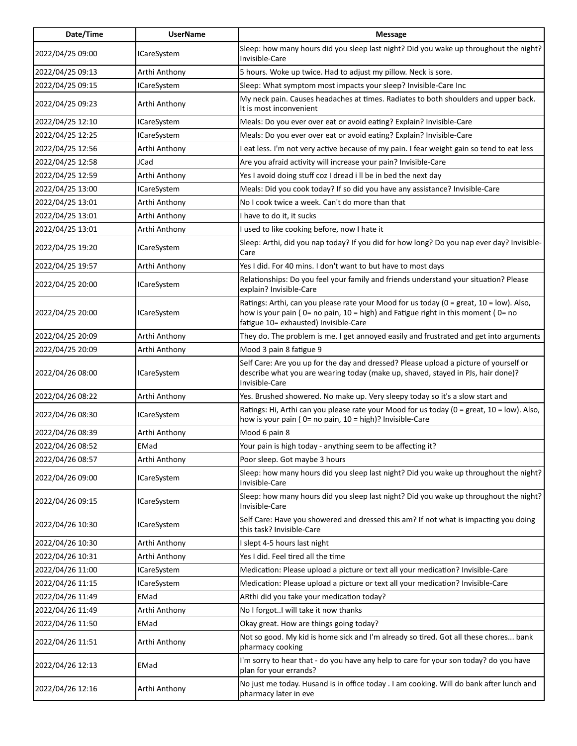| Date/Time        | <b>UserName</b>    | <b>Message</b>                                                                                                                                                                                                       |
|------------------|--------------------|----------------------------------------------------------------------------------------------------------------------------------------------------------------------------------------------------------------------|
| 2022/04/25 09:00 | <b>ICareSystem</b> | Sleep: how many hours did you sleep last night? Did you wake up throughout the night?<br>Invisible-Care                                                                                                              |
| 2022/04/25 09:13 | Arthi Anthony      | 5 hours. Woke up twice. Had to adjust my pillow. Neck is sore.                                                                                                                                                       |
| 2022/04/25 09:15 | <b>ICareSystem</b> | Sleep: What symptom most impacts your sleep? Invisible-Care Inc                                                                                                                                                      |
| 2022/04/25 09:23 | Arthi Anthony      | My neck pain. Causes headaches at times. Radiates to both shoulders and upper back.<br>It is most inconvenient                                                                                                       |
| 2022/04/25 12:10 | <b>ICareSystem</b> | Meals: Do you ever over eat or avoid eating? Explain? Invisible-Care                                                                                                                                                 |
| 2022/04/25 12:25 | <b>ICareSystem</b> | Meals: Do you ever over eat or avoid eating? Explain? Invisible-Care                                                                                                                                                 |
| 2022/04/25 12:56 | Arthi Anthony      | I eat less. I'm not very active because of my pain. I fear weight gain so tend to eat less                                                                                                                           |
| 2022/04/25 12:58 | JCad               | Are you afraid activity will increase your pain? Invisible-Care                                                                                                                                                      |
| 2022/04/25 12:59 | Arthi Anthony      | Yes I avoid doing stuff coz I dread i II be in bed the next day                                                                                                                                                      |
| 2022/04/25 13:00 | <b>ICareSystem</b> | Meals: Did you cook today? If so did you have any assistance? Invisible-Care                                                                                                                                         |
| 2022/04/25 13:01 | Arthi Anthony      | No I cook twice a week. Can't do more than that                                                                                                                                                                      |
| 2022/04/25 13:01 | Arthi Anthony      | I have to do it, it sucks                                                                                                                                                                                            |
| 2022/04/25 13:01 | Arthi Anthony      | I used to like cooking before, now I hate it                                                                                                                                                                         |
| 2022/04/25 19:20 | <b>ICareSystem</b> | Sleep: Arthi, did you nap today? If you did for how long? Do you nap ever day? Invisible-<br>Care                                                                                                                    |
| 2022/04/25 19:57 | Arthi Anthony      | Yes I did. For 40 mins. I don't want to but have to most days                                                                                                                                                        |
| 2022/04/25 20:00 | <b>ICareSystem</b> | Relationships: Do you feel your family and friends understand your situation? Please<br>explain? Invisible-Care                                                                                                      |
| 2022/04/25 20:00 | <b>ICareSystem</b> | Ratings: Arthi, can you please rate your Mood for us today (0 = great, 10 = low). Also,<br>how is your pain (0= no pain, 10 = high) and Fatigue right in this moment (0= no<br>fatigue 10= exhausted) Invisible-Care |
| 2022/04/25 20:09 | Arthi Anthony      | They do. The problem is me. I get annoyed easily and frustrated and get into arguments                                                                                                                               |
| 2022/04/25 20:09 | Arthi Anthony      | Mood 3 pain 8 fatigue 9                                                                                                                                                                                              |
| 2022/04/26 08:00 | <b>ICareSystem</b> | Self Care: Are you up for the day and dressed? Please upload a picture of yourself or<br>describe what you are wearing today (make up, shaved, stayed in PJs, hair done)?<br>Invisible-Care                          |
| 2022/04/26 08:22 | Arthi Anthony      | Yes. Brushed showered. No make up. Very sleepy today so it's a slow start and                                                                                                                                        |
| 2022/04/26 08:30 | <b>ICareSystem</b> | Ratings: Hi, Arthi can you please rate your Mood for us today (0 = great, 10 = low). Also,<br>how is your pain (0= no pain, 10 = high)? Invisible-Care                                                               |
| 2022/04/26 08:39 | Arthi Anthony      | Mood 6 pain 8                                                                                                                                                                                                        |
| 2022/04/26 08:52 | EMad               | Your pain is high today - anything seem to be affecting it?                                                                                                                                                          |
| 2022/04/26 08:57 | Arthi Anthony      | Poor sleep. Got maybe 3 hours                                                                                                                                                                                        |
| 2022/04/26 09:00 | <b>ICareSystem</b> | Sleep: how many hours did you sleep last night? Did you wake up throughout the night?<br>Invisible-Care                                                                                                              |
| 2022/04/26 09:15 | <b>ICareSystem</b> | Sleep: how many hours did you sleep last night? Did you wake up throughout the night?<br>Invisible-Care                                                                                                              |
| 2022/04/26 10:30 | <b>ICareSystem</b> | Self Care: Have you showered and dressed this am? If not what is impacting you doing<br>this task? Invisible-Care                                                                                                    |
| 2022/04/26 10:30 | Arthi Anthony      | I slept 4-5 hours last night                                                                                                                                                                                         |
| 2022/04/26 10:31 | Arthi Anthony      | Yes I did. Feel tired all the time                                                                                                                                                                                   |
| 2022/04/26 11:00 | <b>ICareSystem</b> | Medication: Please upload a picture or text all your medication? Invisible-Care                                                                                                                                      |
| 2022/04/26 11:15 | <b>ICareSystem</b> | Medication: Please upload a picture or text all your medication? Invisible-Care                                                                                                                                      |
| 2022/04/26 11:49 | EMad               | ARthi did you take your medication today?                                                                                                                                                                            |
| 2022/04/26 11:49 | Arthi Anthony      | No I forgotI will take it now thanks                                                                                                                                                                                 |
| 2022/04/26 11:50 | EMad               | Okay great. How are things going today?                                                                                                                                                                              |
| 2022/04/26 11:51 | Arthi Anthony      | Not so good. My kid is home sick and I'm already so tired. Got all these chores bank<br>pharmacy cooking                                                                                                             |
| 2022/04/26 12:13 | EMad               | I'm sorry to hear that - do you have any help to care for your son today? do you have<br>plan for your errands?                                                                                                      |
| 2022/04/26 12:16 | Arthi Anthony      | No just me today. Husand is in office today . I am cooking. Will do bank after lunch and<br>pharmacy later in eve                                                                                                    |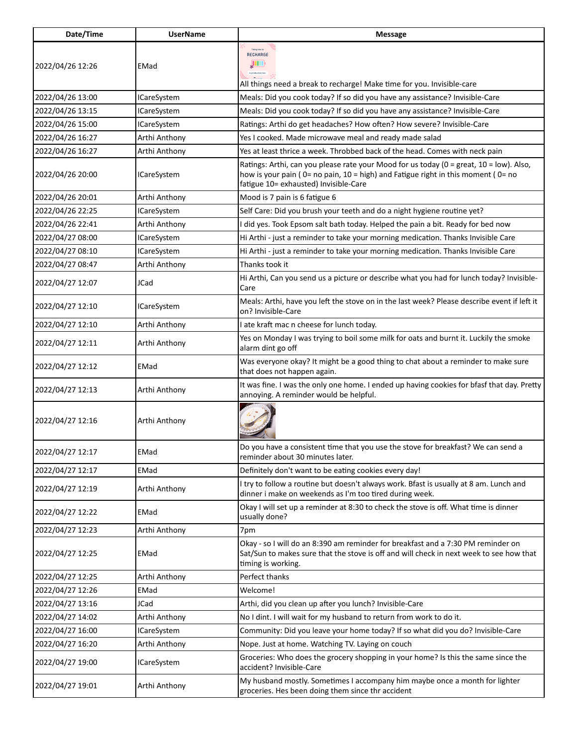| Date/Time        | <b>UserName</b>    | <b>Message</b>                                                                                                                                                                                                       |
|------------------|--------------------|----------------------------------------------------------------------------------------------------------------------------------------------------------------------------------------------------------------------|
| 2022/04/26 12:26 | EMad               | Taking time to<br>RECHARGE<br>JШ<br>is productive too.<br>All things need a break to recharge! Make time for you. Invisible-care                                                                                     |
| 2022/04/26 13:00 | <b>ICareSystem</b> | Meals: Did you cook today? If so did you have any assistance? Invisible-Care                                                                                                                                         |
| 2022/04/26 13:15 | <b>ICareSystem</b> | Meals: Did you cook today? If so did you have any assistance? Invisible-Care                                                                                                                                         |
| 2022/04/26 15:00 | <b>ICareSystem</b> | Ratings: Arthi do get headaches? How often? How severe? Invisible-Care                                                                                                                                               |
| 2022/04/26 16:27 | Arthi Anthony      | Yes I cooked. Made microwave meal and ready made salad                                                                                                                                                               |
| 2022/04/26 16:27 | Arthi Anthony      | Yes at least thrice a week. Throbbed back of the head. Comes with neck pain                                                                                                                                          |
| 2022/04/26 20:00 | <b>ICareSystem</b> | Ratings: Arthi, can you please rate your Mood for us today (0 = great, 10 = low). Also,<br>how is your pain (0= no pain, 10 = high) and Fatigue right in this moment (0= no<br>fatigue 10= exhausted) Invisible-Care |
| 2022/04/26 20:01 | Arthi Anthony      | Mood is 7 pain is 6 fatigue 6                                                                                                                                                                                        |
| 2022/04/26 22:25 | <b>ICareSystem</b> | Self Care: Did you brush your teeth and do a night hygiene routine yet?                                                                                                                                              |
| 2022/04/26 22:41 | Arthi Anthony      | I did yes. Took Epsom salt bath today. Helped the pain a bit. Ready for bed now                                                                                                                                      |
| 2022/04/27 08:00 | <b>ICareSystem</b> | Hi Arthi - just a reminder to take your morning medication. Thanks Invisible Care                                                                                                                                    |
| 2022/04/27 08:10 | <b>ICareSystem</b> | Hi Arthi - just a reminder to take your morning medication. Thanks Invisible Care                                                                                                                                    |
| 2022/04/27 08:47 | Arthi Anthony      | Thanks took it                                                                                                                                                                                                       |
| 2022/04/27 12:07 | JCad               | Hi Arthi, Can you send us a picture or describe what you had for lunch today? Invisible-<br>Care                                                                                                                     |
| 2022/04/27 12:10 | <b>ICareSystem</b> | Meals: Arthi, have you left the stove on in the last week? Please describe event if left it<br>on? Invisible-Care                                                                                                    |
| 2022/04/27 12:10 | Arthi Anthony      | I ate kraft mac n cheese for lunch today.                                                                                                                                                                            |
| 2022/04/27 12:11 | Arthi Anthony      | Yes on Monday I was trying to boil some milk for oats and burnt it. Luckily the smoke<br>alarm dint go off                                                                                                           |
| 2022/04/27 12:12 | EMad               | Was everyone okay? It might be a good thing to chat about a reminder to make sure<br>that does not happen again.                                                                                                     |
| 2022/04/27 12:13 | Arthi Anthony      | It was fine. I was the only one home. I ended up having cookies for bfasf that day. Pretty<br>annoying. A reminder would be helpful.                                                                                 |
| 2022/04/27 12:16 | Arthi Anthony      |                                                                                                                                                                                                                      |
| 2022/04/27 12:17 | EMad               | Do you have a consistent time that you use the stove for breakfast? We can send a<br>reminder about 30 minutes later.                                                                                                |
| 2022/04/27 12:17 | EMad               | Definitely don't want to be eating cookies every day!                                                                                                                                                                |
| 2022/04/27 12:19 | Arthi Anthony      | I try to follow a routine but doesn't always work. Bfast is usually at 8 am. Lunch and<br>dinner i make on weekends as I'm too tired during week.                                                                    |
| 2022/04/27 12:22 | EMad               | Okay I will set up a reminder at 8:30 to check the stove is off. What time is dinner<br>usually done?                                                                                                                |
| 2022/04/27 12:23 | Arthi Anthony      | 7pm                                                                                                                                                                                                                  |
| 2022/04/27 12:25 | EMad               | Okay - so I will do an 8:390 am reminder for breakfast and a 7:30 PM reminder on<br>Sat/Sun to makes sure that the stove is off and will check in next week to see how that<br>timing is working.                    |
| 2022/04/27 12:25 | Arthi Anthony      | Perfect thanks                                                                                                                                                                                                       |
| 2022/04/27 12:26 | EMad               | Welcome!                                                                                                                                                                                                             |
| 2022/04/27 13:16 | JCad               | Arthi, did you clean up after you lunch? Invisible-Care                                                                                                                                                              |
| 2022/04/27 14:02 | Arthi Anthony      | No I dint. I will wait for my husband to return from work to do it.                                                                                                                                                  |
| 2022/04/27 16:00 | <b>ICareSystem</b> | Community: Did you leave your home today? If so what did you do? Invisible-Care                                                                                                                                      |
| 2022/04/27 16:20 | Arthi Anthony      | Nope. Just at home. Watching TV. Laying on couch                                                                                                                                                                     |
| 2022/04/27 19:00 | <b>ICareSystem</b> | Groceries: Who does the grocery shopping in your home? Is this the same since the<br>accident? Invisible-Care                                                                                                        |
| 2022/04/27 19:01 | Arthi Anthony      | My husband mostly. Sometimes I accompany him maybe once a month for lighter<br>groceries. Hes been doing them since thr accident                                                                                     |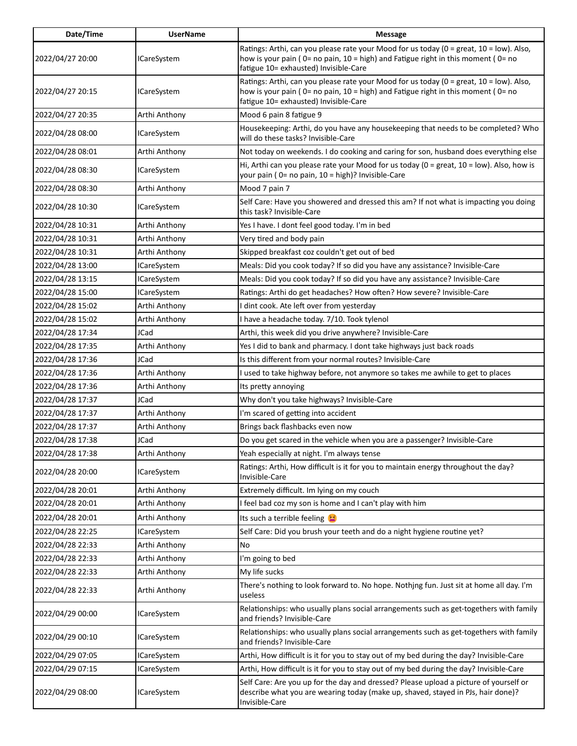| Date/Time        | <b>UserName</b>    | <b>Message</b>                                                                                                                                                                                                       |
|------------------|--------------------|----------------------------------------------------------------------------------------------------------------------------------------------------------------------------------------------------------------------|
| 2022/04/27 20:00 | <b>ICareSystem</b> | Ratings: Arthi, can you please rate your Mood for us today (0 = great, 10 = low). Also,<br>how is your pain (0= no pain, 10 = high) and Fatigue right in this moment (0= no<br>fatigue 10= exhausted) Invisible-Care |
| 2022/04/27 20:15 | <b>ICareSystem</b> | Ratings: Arthi, can you please rate your Mood for us today (0 = great, 10 = low). Also,<br>how is your pain (0= no pain, 10 = high) and Fatigue right in this moment (0= no<br>fatigue 10= exhausted) Invisible-Care |
| 2022/04/27 20:35 | Arthi Anthony      | Mood 6 pain 8 fatigue 9                                                                                                                                                                                              |
| 2022/04/28 08:00 | <b>ICareSystem</b> | Housekeeping: Arthi, do you have any housekeeping that needs to be completed? Who<br>will do these tasks? Invisible-Care                                                                                             |
| 2022/04/28 08:01 | Arthi Anthony      | Not today on weekends. I do cooking and caring for son, husband does everything else                                                                                                                                 |
| 2022/04/28 08:30 | <b>ICareSystem</b> | Hi, Arthi can you please rate your Mood for us today ( $0 =$ great, $10 =$ low). Also, how is<br>your pain (0= no pain, 10 = high)? Invisible-Care                                                                   |
| 2022/04/28 08:30 | Arthi Anthony      | Mood 7 pain 7                                                                                                                                                                                                        |
| 2022/04/28 10:30 | <b>ICareSystem</b> | Self Care: Have you showered and dressed this am? If not what is impacting you doing<br>this task? Invisible-Care                                                                                                    |
| 2022/04/28 10:31 | Arthi Anthony      | Yes I have. I dont feel good today. I'm in bed                                                                                                                                                                       |
| 2022/04/28 10:31 | Arthi Anthony      | Very tired and body pain                                                                                                                                                                                             |
| 2022/04/28 10:31 | Arthi Anthony      | Skipped breakfast coz couldn't get out of bed                                                                                                                                                                        |
| 2022/04/28 13:00 | <b>ICareSystem</b> | Meals: Did you cook today? If so did you have any assistance? Invisible-Care                                                                                                                                         |
| 2022/04/28 13:15 | <b>ICareSystem</b> | Meals: Did you cook today? If so did you have any assistance? Invisible-Care                                                                                                                                         |
| 2022/04/28 15:00 | <b>ICareSystem</b> | Ratings: Arthi do get headaches? How often? How severe? Invisible-Care                                                                                                                                               |
| 2022/04/28 15:02 | Arthi Anthony      | I dint cook. Ate left over from yesterday                                                                                                                                                                            |
| 2022/04/28 15:02 | Arthi Anthony      | I have a headache today. 7/10. Took tylenol                                                                                                                                                                          |
| 2022/04/28 17:34 | JCad               | Arthi, this week did you drive anywhere? Invisible-Care                                                                                                                                                              |
| 2022/04/28 17:35 | Arthi Anthony      | Yes I did to bank and pharmacy. I dont take highways just back roads                                                                                                                                                 |
| 2022/04/28 17:36 | JCad               | Is this different from your normal routes? Invisible-Care                                                                                                                                                            |
| 2022/04/28 17:36 | Arthi Anthony      | I used to take highway before, not anymore so takes me awhile to get to places                                                                                                                                       |
| 2022/04/28 17:36 | Arthi Anthony      | Its pretty annoying                                                                                                                                                                                                  |
| 2022/04/28 17:37 | JCad               | Why don't you take highways? Invisible-Care                                                                                                                                                                          |
| 2022/04/28 17:37 | Arthi Anthony      | I'm scared of getting into accident                                                                                                                                                                                  |
| 2022/04/28 17:37 | Arthi Anthony      | Brings back flashbacks even now                                                                                                                                                                                      |
| 2022/04/28 17:38 | JCad               | Do you get scared in the vehicle when you are a passenger? Invisible-Care                                                                                                                                            |
| 2022/04/28 17:38 | Arthi Anthony      | Yeah especially at night. I'm always tense                                                                                                                                                                           |
| 2022/04/28 20:00 | <b>ICareSystem</b> | Ratings: Arthi, How difficult is it for you to maintain energy throughout the day?<br>Invisible-Care                                                                                                                 |
| 2022/04/28 20:01 | Arthi Anthony      | Extremely difficult. Im lying on my couch                                                                                                                                                                            |
| 2022/04/28 20:01 | Arthi Anthony      | I feel bad coz my son is home and I can't play with him                                                                                                                                                              |
| 2022/04/28 20:01 | Arthi Anthony      | Its such a terrible feeling                                                                                                                                                                                          |
| 2022/04/28 22:25 | ICareSystem        | Self Care: Did you brush your teeth and do a night hygiene routine yet?                                                                                                                                              |
| 2022/04/28 22:33 | Arthi Anthony      | No                                                                                                                                                                                                                   |
| 2022/04/28 22:33 | Arthi Anthony      | I'm going to bed                                                                                                                                                                                                     |
| 2022/04/28 22:33 | Arthi Anthony      | My life sucks                                                                                                                                                                                                        |
| 2022/04/28 22:33 | Arthi Anthony      | There's nothing to look forward to. No hope. Nothing fun. Just sit at home all day. I'm<br>useless                                                                                                                   |
| 2022/04/29 00:00 | <b>ICareSystem</b> | Relationships: who usually plans social arrangements such as get-togethers with family<br>and friends? Invisible-Care                                                                                                |
| 2022/04/29 00:10 | <b>ICareSystem</b> | Relationships: who usually plans social arrangements such as get-togethers with family<br>and friends? Invisible-Care                                                                                                |
| 2022/04/29 07:05 | <b>ICareSystem</b> | Arthi, How difficult is it for you to stay out of my bed during the day? Invisible-Care                                                                                                                              |
| 2022/04/29 07:15 | <b>ICareSystem</b> | Arthi, How difficult is it for you to stay out of my bed during the day? Invisible-Care                                                                                                                              |
| 2022/04/29 08:00 | <b>ICareSystem</b> | Self Care: Are you up for the day and dressed? Please upload a picture of yourself or<br>describe what you are wearing today (make up, shaved, stayed in PJs, hair done)?<br>Invisible-Care                          |